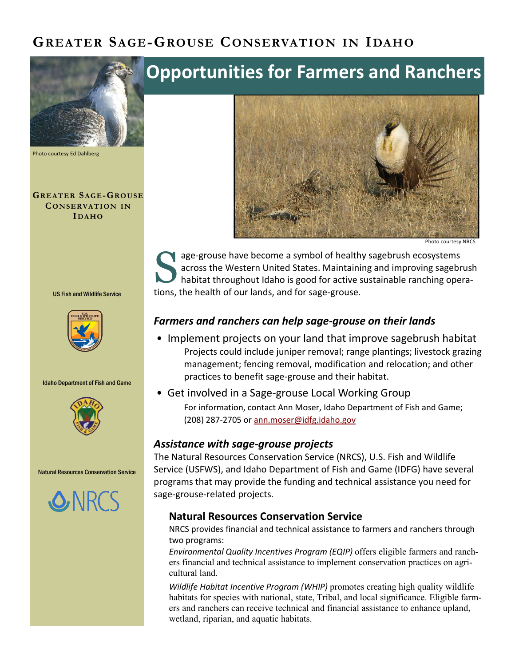# **GREATER SAGE-GROUSE CONSERVATION IN IDAHO**



Photo courtesy Ed Dahlberg

**GREATER SAGE-GROUSE CONSERVATION IN IDAHO**

US Fish and Wildlife Service



Idaho Department of Fish and Game



Natural Resources Conservation Service



# **Opportunities for Farmers and Ranchers**



Photo courtesy NRCS

S age-grouse have become a symbol of healthy sagebrush ecosystems across the Western United States. Maintaining and improving sagebrush habitat throughout Idaho is good for active sustainable ranching operations, the health of our lands, and for sage-grouse.

# *Farmers and ranchers can help sage-grouse on their lands*

- Implement projects on your land that improve sagebrush habitat Projects could include juniper removal; range plantings; livestock grazing management; fencing removal, modification and relocation; and other practices to benefit sage-grouse and their habitat.
- Get involved in a Sage-grouse Local Working Group

For information, contact Ann Moser, Idaho Department of Fish and Game; (208) 287-2705 or [ann.moser@idfg.idaho.gov](mailto:ann.moser@idfg.idaho.gov)

# *Assistance with sage-grouse projects*

The Natural Resources Conservation Service (NRCS), U.S. Fish and Wildlife Service (USFWS), and Idaho Department of Fish and Game (IDFG) have several programs that may provide the funding and technical assistance you need for sage-grouse-related projects.

# **Natural Resources Conservation Service**

NRCS provides financial and technical assistance to farmers and ranchers through two programs:

*Environmental Quality Incentives Program (EQIP)* offers eligible farmers and ranchers financial and technical assistance to implement conservation practices on agricultural land.

*Wildlife Habitat Incentive Program (WHIP)* promotes creating high quality wildlife habitats for species with national, state, Tribal, and local significance. Eligible farmers and ranchers can receive technical and financial assistance to enhance upland, wetland, riparian, and aquatic habitats.